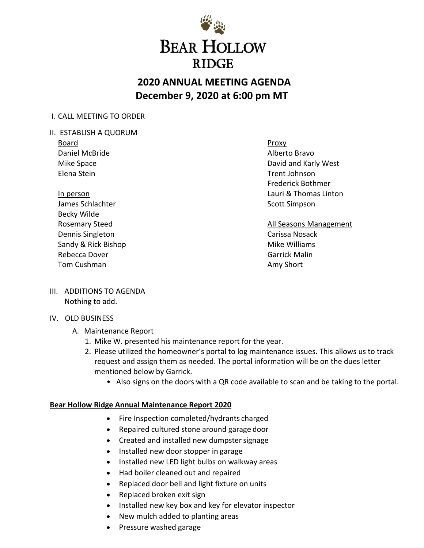

# **2020 ANNUAL MEETING AGENDA December 9, 2020 at 6:00 pm MT**

## I. CALL MEETING TO ORDER

- II. ESTABLISH A QUORUM
	- Board Daniel McBride Mike Space Elena Stein

In person James Schlachter Becky Wilde Rosemary Steed Dennis Singleton Sandy & Rick Bishop Rebecca Dover Tom Cushman

Proxy Alberto Bravo David and Karly West Trent Johnson Frederick Bothmer Lauri & Thomas Linton Scott Simpson

All Seasons Management Carissa Nosack Mike Williams Garrick Malin Amy Short

III. ADDITIONS TO AGENDA Nothing to add.

### IV. OLD BUSINESS

- A. Maintenance Report
	- 1. Mike W. presented his maintenance report for the year.
	- 2. Please utilized the homeowner's portal to log maintenance issues. This allows us to track request and assign them as needed. The portal information will be on the dues letter mentioned below by Garrick.
		- Also signs on the doors with a QR code available to scan and be taking to the portal.

### **Bear Hollow Ridge Annual Maintenance Report 2020**

- Fire Inspection completed/hydrants charged
- Repaired cultured stone around garage door
- Created and installed new dumpstersignage
- Installed new door stopper in garage
- Installed new LED light bulbs on walkway areas
- Had boiler cleaned out and repaired
- Replaced door bell and light fixture on units
- Replaced broken exit sign
- Installed new key box and key for elevator inspector
- New mulch added to planting areas
- Pressure washed garage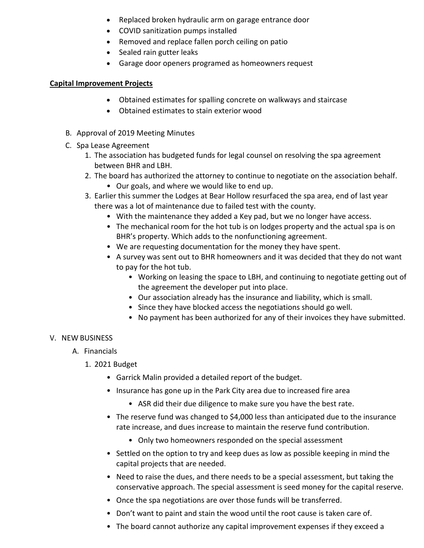- Replaced broken hydraulic arm on garage entrance door
- COVID sanitization pumps installed
- Removed and replace fallen porch ceiling on patio
- Sealed rain gutter leaks
- Garage door openers programed as homeowners request

### **Capital Improvement Projects**

- Obtained estimates for spalling concrete on walkways and staircase
- Obtained estimates to stain exterior wood
- B. Approval of 2019 Meeting Minutes
- C. Spa Lease Agreement
	- 1. The association has budgeted funds for legal counsel on resolving the spa agreement between BHR and LBH.
	- 2. The board has authorized the attorney to continue to negotiate on the association behalf.
		- Our goals, and where we would like to end up.
	- 3. Earlier this summer the Lodges at Bear Hollow resurfaced the spa area, end of last year there was a lot of maintenance due to failed test with the county.
		- With the maintenance they added a Key pad, but we no longer have access.
		- The mechanical room for the hot tub is on lodges property and the actual spa is on BHR's property. Which adds to the nonfunctioning agreement.
		- We are requesting documentation for the money they have spent.
		- A survey was sent out to BHR homeowners and it was decided that they do not want to pay for the hot tub.
			- Working on leasing the space to LBH, and continuing to negotiate getting out of the agreement the developer put into place.
			- Our association already has the insurance and liability, which is small.
			- Since they have blocked access the negotiations should go well.
			- No payment has been authorized for any of their invoices they have submitted.

### V. NEW BUSINESS

- A. Financials
	- 1. 2021 Budget
		- Garrick Malin provided a detailed report of the budget.
		- Insurance has gone up in the Park City area due to increased fire area
			- ASR did their due diligence to make sure you have the best rate.
		- The reserve fund was changed to \$4,000 less than anticipated due to the insurance rate increase, and dues increase to maintain the reserve fund contribution.
			- Only two homeowners responded on the special assessment
		- Settled on the option to try and keep dues as low as possible keeping in mind the capital projects that are needed.
		- Need to raise the dues, and there needs to be a special assessment, but taking the conservative approach. The special assessment is seed money for the capital reserve.
		- Once the spa negotiations are over those funds will be transferred.
		- Don't want to paint and stain the wood until the root cause is taken care of.
		- The board cannot authorize any capital improvement expenses if they exceed a